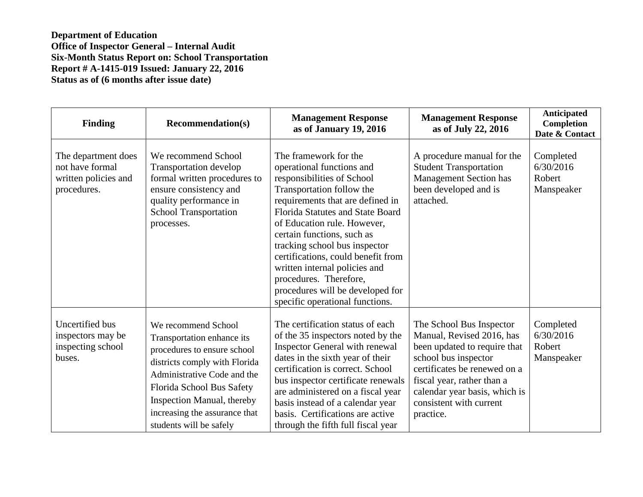**Department of Education Office of Inspector General – Internal Audit Six-Month Status Report on: School Transportation Report # A-1415-019 Issued: January 22, 2016 Status as of (6 months after issue date)** 

| <b>Finding</b>                                                                | <b>Recommendation(s)</b>                                                                                                                                                                                                                                                | <b>Management Response</b><br>as of January 19, 2016                                                                                                                                                                                                                                                                                                                                                                                                        | <b>Management Response</b><br>as of July 22, 2016                                                                                                                                                                                                    | <b>Anticipated</b><br>Completion<br>Date & Contact |
|-------------------------------------------------------------------------------|-------------------------------------------------------------------------------------------------------------------------------------------------------------------------------------------------------------------------------------------------------------------------|-------------------------------------------------------------------------------------------------------------------------------------------------------------------------------------------------------------------------------------------------------------------------------------------------------------------------------------------------------------------------------------------------------------------------------------------------------------|------------------------------------------------------------------------------------------------------------------------------------------------------------------------------------------------------------------------------------------------------|----------------------------------------------------|
| The department does<br>not have formal<br>written policies and<br>procedures. | We recommend School<br>Transportation develop<br>formal written procedures to<br>ensure consistency and<br>quality performance in<br><b>School Transportation</b><br>processes.                                                                                         | The framework for the<br>operational functions and<br>responsibilities of School<br>Transportation follow the<br>requirements that are defined in<br>Florida Statutes and State Board<br>of Education rule. However,<br>certain functions, such as<br>tracking school bus inspector<br>certifications, could benefit from<br>written internal policies and<br>procedures. Therefore,<br>procedures will be developed for<br>specific operational functions. | A procedure manual for the<br><b>Student Transportation</b><br><b>Management Section has</b><br>been developed and is<br>attached.                                                                                                                   | Completed<br>6/30/2016<br>Robert<br>Manspeaker     |
| Uncertified bus<br>inspectors may be<br>inspecting school<br>buses.           | We recommend School<br>Transportation enhance its<br>procedures to ensure school<br>districts comply with Florida<br>Administrative Code and the<br>Florida School Bus Safety<br>Inspection Manual, thereby<br>increasing the assurance that<br>students will be safely | The certification status of each<br>of the 35 inspectors noted by the<br>Inspector General with renewal<br>dates in the sixth year of their<br>certification is correct. School<br>bus inspector certificate renewals<br>are administered on a fiscal year<br>basis instead of a calendar year<br>basis. Certifications are active<br>through the fifth full fiscal year                                                                                    | The School Bus Inspector<br>Manual, Revised 2016, has<br>been updated to require that<br>school bus inspector<br>certificates be renewed on a<br>fiscal year, rather than a<br>calendar year basis, which is<br>consistent with current<br>practice. | Completed<br>6/30/2016<br>Robert<br>Manspeaker     |